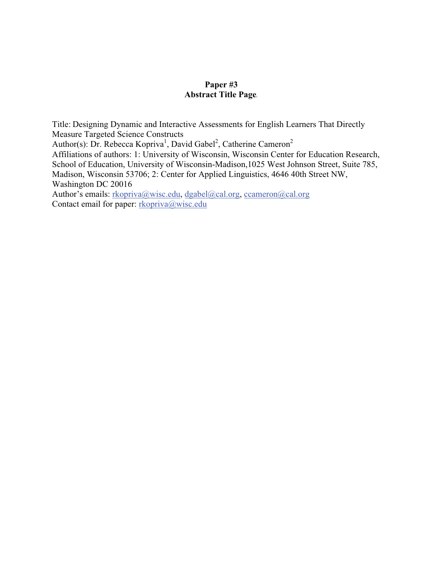# **Paper #3 Abstract Title Page***.*

Title: Designing Dynamic and Interactive Assessments for English Learners That Directly Measure Targeted Science Constructs Author(s): Dr. Rebecca Kopriva<sup>1</sup>, David Gabel<sup>2</sup>, Catherine Cameron<sup>2</sup> Affiliations of authors: 1: University of Wisconsin, Wisconsin Center for Education Research, School of Education, University of Wisconsin-Madison,1025 West Johnson Street, Suite 785, Madison, Wisconsin 53706; 2: Center for Applied Linguistics, 4646 40th Street NW, Washington DC 20016 Author's emails: rkopriva@wisc.edu, dgabel@cal.org, ccameron@cal.org Contact email for paper: rkopriva@wisc.edu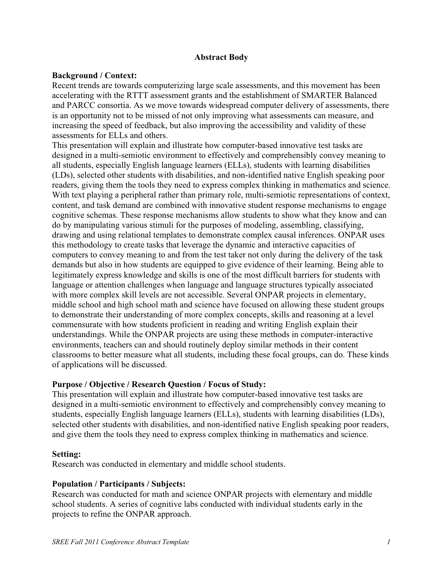### **Abstract Body**

### **Background / Context:**

Recent trends are towards computerizing large scale assessments, and this movement has been accelerating with the RTTT assessment grants and the establishment of SMARTER Balanced and PARCC consortia. As we move towards widespread computer delivery of assessments, there is an opportunity not to be missed of not only improving what assessments can measure, and increasing the speed of feedback, but also improving the accessibility and validity of these assessments for ELLs and others.

This presentation will explain and illustrate how computer-based innovative test tasks are designed in a multi-semiotic environment to effectively and comprehensibly convey meaning to all students, especially English language learners (ELLs), students with learning disabilities (LDs), selected other students with disabilities, and non-identified native English speaking poor readers, giving them the tools they need to express complex thinking in mathematics and science. With text playing a peripheral rather than primary role, multi-semiotic representations of context, content, and task demand are combined with innovative student response mechanisms to engage cognitive schemas. These response mechanisms allow students to show what they know and can do by manipulating various stimuli for the purposes of modeling, assembling, classifying, drawing and using relational templates to demonstrate complex causal inferences. ONPAR uses this methodology to create tasks that leverage the dynamic and interactive capacities of computers to convey meaning to and from the test taker not only during the delivery of the task demands but also in how students are equipped to give evidence of their learning. Being able to legitimately express knowledge and skills is one of the most difficult barriers for students with language or attention challenges when language and language structures typically associated with more complex skill levels are not accessible. Several ONPAR projects in elementary, middle school and high school math and science have focused on allowing these student groups to demonstrate their understanding of more complex concepts, skills and reasoning at a level commensurate with how students proficient in reading and writing English explain their understandings. While the ONPAR projects are using these methods in computer-interactive environments, teachers can and should routinely deploy similar methods in their content classrooms to better measure what all students, including these focal groups, can do. These kinds of applications will be discussed.

# **Purpose / Objective / Research Question / Focus of Study:**

This presentation will explain and illustrate how computer-based innovative test tasks are designed in a multi-semiotic environment to effectively and comprehensibly convey meaning to students, especially English language learners (ELLs), students with learning disabilities (LDs), selected other students with disabilities, and non-identified native English speaking poor readers, and give them the tools they need to express complex thinking in mathematics and science.

#### **Setting:**

Research was conducted in elementary and middle school students.

# **Population / Participants / Subjects:**

Research was conducted for math and science ONPAR projects with elementary and middle school students. A series of cognitive labs conducted with individual students early in the projects to refine the ONPAR approach.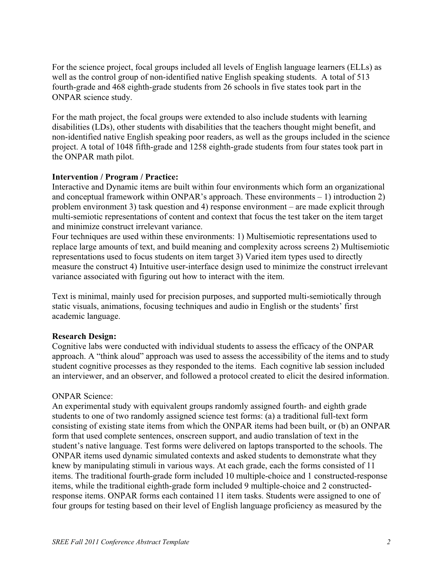For the science project, focal groups included all levels of English language learners (ELLs) as well as the control group of non-identified native English speaking students. A total of 513 fourth-grade and 468 eighth-grade students from 26 schools in five states took part in the ONPAR science study.

For the math project, the focal groups were extended to also include students with learning disabilities (LDs), other students with disabilities that the teachers thought might benefit, and non-identified native English speaking poor readers, as well as the groups included in the science project. A total of 1048 fifth-grade and 1258 eighth-grade students from four states took part in the ONPAR math pilot.

# **Intervention / Program / Practice:**

Interactive and Dynamic items are built within four environments which form an organizational and conceptual framework within ONPAR's approach. These environments – 1) introduction 2) problem environment 3) task question and 4) response environment – are made explicit through multi-semiotic representations of content and context that focus the test taker on the item target and minimize construct irrelevant variance.

Four techniques are used within these environments: 1) Multisemiotic representations used to replace large amounts of text, and build meaning and complexity across screens 2) Multisemiotic representations used to focus students on item target 3) Varied item types used to directly measure the construct 4) Intuitive user-interface design used to minimize the construct irrelevant variance associated with figuring out how to interact with the item.

Text is minimal, mainly used for precision purposes, and supported multi-semiotically through static visuals, animations, focusing techniques and audio in English or the students' first academic language.

#### **Research Design:**

Cognitive labs were conducted with individual students to assess the efficacy of the ONPAR approach. A "think aloud" approach was used to assess the accessibility of the items and to study student cognitive processes as they responded to the items. Each cognitive lab session included an interviewer, and an observer, and followed a protocol created to elicit the desired information.

#### ONPAR Science:

An experimental study with equivalent groups randomly assigned fourth- and eighth grade students to one of two randomly assigned science test forms: (a) a traditional full-text form consisting of existing state items from which the ONPAR items had been built, or (b) an ONPAR form that used complete sentences, onscreen support, and audio translation of text in the student's native language. Test forms were delivered on laptops transported to the schools. The ONPAR items used dynamic simulated contexts and asked students to demonstrate what they knew by manipulating stimuli in various ways. At each grade, each the forms consisted of 11 items. The traditional fourth-grade form included 10 multiple-choice and 1 constructed-response items, while the traditional eighth-grade form included 9 multiple-choice and 2 constructedresponse items. ONPAR forms each contained 11 item tasks. Students were assigned to one of four groups for testing based on their level of English language proficiency as measured by the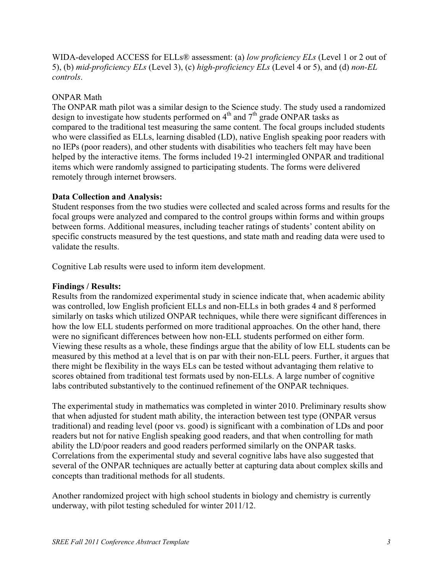WIDA-developed ACCESS for ELLs® assessment: (a) *low proficiency ELs* (Level 1 or 2 out of 5), (b) *mid-proficiency ELs* (Level 3), (c) *high-proficiency ELs* (Level 4 or 5), and (d) *non-EL controls*.

### ONPAR Math

The ONPAR math pilot was a similar design to the Science study. The study used a randomized design to investigate how students performed on  $4<sup>th</sup>$  and  $7<sup>th</sup>$  grade ONPAR tasks as compared to the traditional test measuring the same content. The focal groups included students who were classified as ELLs, learning disabled (LD), native English speaking poor readers with no IEPs (poor readers), and other students with disabilities who teachers felt may have been helped by the interactive items. The forms included 19-21 intermingled ONPAR and traditional items which were randomly assigned to participating students. The forms were delivered remotely through internet browsers.

### **Data Collection and Analysis:**

Student responses from the two studies were collected and scaled across forms and results for the focal groups were analyzed and compared to the control groups within forms and within groups between forms. Additional measures, including teacher ratings of students' content ability on specific constructs measured by the test questions, and state math and reading data were used to validate the results.

Cognitive Lab results were used to inform item development.

#### **Findings / Results:**

Results from the randomized experimental study in science indicate that, when academic ability was controlled, low English proficient ELLs and non-ELLs in both grades 4 and 8 performed similarly on tasks which utilized ONPAR techniques, while there were significant differences in how the low ELL students performed on more traditional approaches. On the other hand, there were no significant differences between how non-ELL students performed on either form. Viewing these results as a whole, these findings argue that the ability of low ELL students can be measured by this method at a level that is on par with their non-ELL peers. Further, it argues that there might be flexibility in the ways ELs can be tested without advantaging them relative to scores obtained from traditional test formats used by non-ELLs. A large number of cognitive labs contributed substantively to the continued refinement of the ONPAR techniques.

The experimental study in mathematics was completed in winter 2010. Preliminary results show that when adjusted for student math ability, the interaction between test type (ONPAR versus traditional) and reading level (poor vs. good) is significant with a combination of LDs and poor readers but not for native English speaking good readers, and that when controlling for math ability the LD/poor readers and good readers performed similarly on the ONPAR tasks. Correlations from the experimental study and several cognitive labs have also suggested that several of the ONPAR techniques are actually better at capturing data about complex skills and concepts than traditional methods for all students.

Another randomized project with high school students in biology and chemistry is currently underway, with pilot testing scheduled for winter 2011/12.